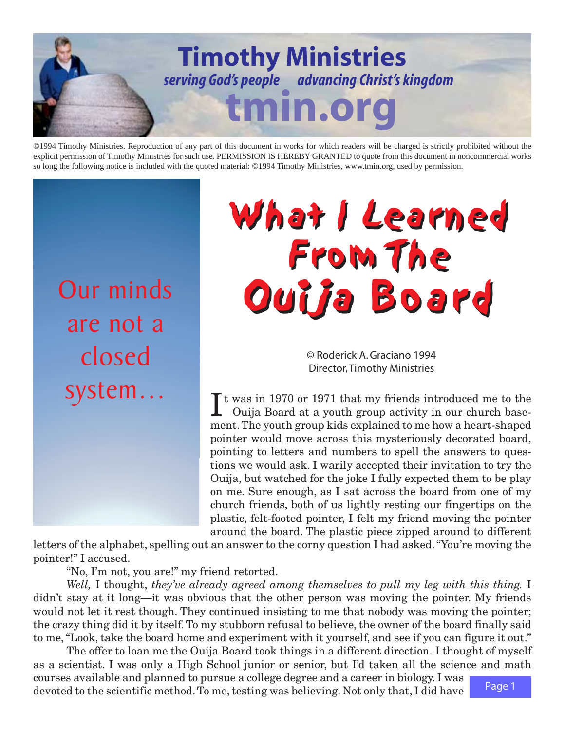

©1994 Timothy Ministries. Reproduction of any part of this document in works for which readers will be charged is strictly prohibited without the explicit permission of Timothy Ministries for such use. PERMISSION IS HEREBY GRANTED to quote from this document in noncommercial works so long the following notice is included with the quoted material: ©1994 Timothy Ministries, www.tmin.org, used by permission.

Our minds are not a closed

## What I Learned What I Learned From The From The Ouija Board

© Roderick A. Graciano 1994 Director, Timothy Ministries

SYSTEM . . . Tt was in 1970 or 1971 that my friends introduced me to the Ouija Board at a youth group activity in our church basement. The youth group kids explained to me how a heart-shaped pointer would move across this mysteriously decorated board, pointing to letters and numbers to spell the answers to questions we would ask. I warily accepted their invitation to try the Ouija, but watched for the joke I fully expected them to be play on me. Sure enough, as I sat across the board from one of my church friends, both of us lightly resting our fingertips on the plastic, felt-footed pointer, I felt my friend moving the pointer around the board. The plastic piece zipped around to different

letters of the alphabet, spelling out an answer to the corny question I had asked. "You're moving the pointer!" I accused.

"No, I'm not, you are!" my friend retorted.

*Well,* I thought, *they've already agreed among themselves to pull my leg with this thing.* I didn't stay at it long—it was obvious that the other person was moving the pointer. My friends would not let it rest though. They continued insisting to me that nobody was moving the pointer; the crazy thing did it by itself. To my stubborn refusal to believe, the owner of the board finally said to me, "Look, take the board home and experiment with it yourself, and see if you can figure it out."

Page 1 The offer to loan me the Ouija Board took things in a different direction. I thought of myself as a scientist. I was only a High School junior or senior, but I'd taken all the science and math courses available and planned to pursue a college degree and a career in biology. I was devoted to the scientific method. To me, testing was believing. Not only that, I did have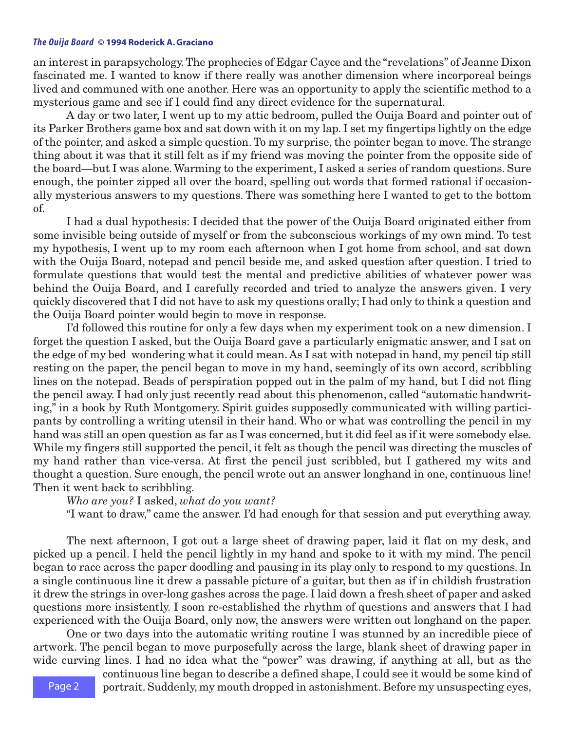## *The Ouija Board* **© 1994 Roderick A. Graciano**

an interest in parapsychology. The prophecies of Edgar Cayce and the "revelations" of Jeanne Dixon fascinated me. I wanted to know if there really was another dimension where incorporeal beings lived and communed with one another. Here was an opportunity to apply the scientific method to a mysterious game and see if I could find any direct evidence for the supernatural.

A day or two later, I went up to my attic bedroom, pulled the Ouija Board and pointer out of its Parker Brothers game box and sat down with it on my lap. I set my fingertips lightly on the edge of the pointer, and asked a simple question. To my surprise, the pointer began to move. The strange thing about it was that it still felt as if my friend was moving the pointer from the opposite side of the board—but I was alone. Warming to the experiment, I asked a series of random questions. Sure enough, the pointer zipped all over the board, spelling out words that formed rational if occasionally mysterious answers to my questions. There was something here I wanted to get to the bottom of.

I had a dual hypothesis: I decided that the power of the Ouija Board originated either from some invisible being outside of myself or from the subconscious workings of my own mind. To test my hypothesis, I went up to my room each afternoon when I got home from school, and sat down with the Ouija Board, notepad and pencil beside me, and asked question after question. I tried to formulate questions that would test the mental and predictive abilities of whatever power was behind the Ouija Board, and I carefully recorded and tried to analyze the answers given. I very quickly discovered that I did not have to ask my questions orally; I had only to think a question and the Ouija Board pointer would begin to move in response.

I'd followed this routine for only a few days when my experiment took on a new dimension. I forget the question I asked, but the Ouija Board gave a particularly enigmatic answer, and I sat on the edge of my bed wondering what it could mean. As I sat with notepad in hand, my pencil tip still resting on the paper, the pencil began to move in my hand, seemingly of its own accord, scribbling lines on the notepad. Beads of perspiration popped out in the palm of my hand, but I did not fling the pencil away. I had only just recently read about this phenomenon, called "automatic handwriting," in a book by Ruth Montgomery. Spirit guides supposedly communicated with willing participants by controlling a writing utensil in their hand. Who or what was controlling the pencil in my hand was still an open question as far as I was concerned, but it did feel as if it were somebody else. While my fingers still supported the pencil, it felt as though the pencil was directing the muscles of my hand rather than vice-versa. At first the pencil just scribbled, but I gathered my wits and thought a question. Sure enough, the pencil wrote out an answer longhand in one, continuous line! Then it went back to scribbling.

*Who are you?* I asked, *what do you want?*

"I want to draw," came the answer. I'd had enough for that session and put everything away.

The next afternoon, I got out a large sheet of drawing paper, laid it flat on my desk, and picked up a pencil. I held the pencil lightly in my hand and spoke to it with my mind. The pencil began to race across the paper doodling and pausing in its play only to respond to my questions. In a single continuous line it drew a passable picture of a guitar, but then as if in childish frustration it drew the strings in over-long gashes across the page. I laid down a fresh sheet of paper and asked questions more insistently. I soon re-established the rhythm of questions and answers that I had experienced with the Ouija Board, only now, the answers were written out longhand on the paper.

One or two days into the automatic writing routine I was stunned by an incredible piece of artwork. The pencil began to move purposefully across the large, blank sheet of drawing paper in wide curving lines. I had no idea what the "power" was drawing, if anything at all, but as the

> continuous line began to describe a defined shape, I could see it would be some kind of portrait. Suddenly, my mouth dropped in astonishment. Before my unsuspecting eyes,

Page 2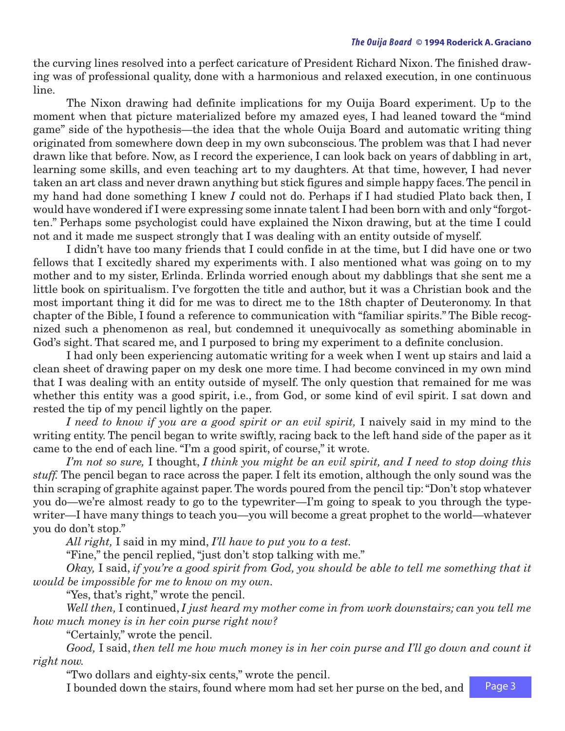the curving lines resolved into a perfect caricature of President Richard Nixon. The finished drawing was of professional quality, done with a harmonious and relaxed execution, in one continuous line.

The Nixon drawing had definite implications for my Ouija Board experiment. Up to the moment when that picture materialized before my amazed eyes, I had leaned toward the "mind game" side of the hypothesis—the idea that the whole Ouija Board and automatic writing thing originated from somewhere down deep in my own subconscious. The problem was that I had never drawn like that before. Now, as I record the experience, I can look back on years of dabbling in art, learning some skills, and even teaching art to my daughters. At that time, however, I had never taken an art class and never drawn anything but stick figures and simple happy faces. The pencil in my hand had done something I knew *I* could not do. Perhaps if I had studied Plato back then, I would have wondered if I were expressing some innate talent I had been born with and only "forgotten." Perhaps some psychologist could have explained the Nixon drawing, but at the time I could not and it made me suspect strongly that I was dealing with an entity outside of myself.

I didn't have too many friends that I could confide in at the time, but I did have one or two fellows that I excitedly shared my experiments with. I also mentioned what was going on to my mother and to my sister, Erlinda. Erlinda worried enough about my dabblings that she sent me a little book on spiritualism. I've forgotten the title and author, but it was a Christian book and the most important thing it did for me was to direct me to the 18th chapter of Deuteronomy. In that chapter of the Bible, I found a reference to communication with "familiar spirits." The Bible recognized such a phenomenon as real, but condemned it unequivocally as something abominable in God's sight. That scared me, and I purposed to bring my experiment to a definite conclusion.

I had only been experiencing automatic writing for a week when I went up stairs and laid a clean sheet of drawing paper on my desk one more time. I had become convinced in my own mind that I was dealing with an entity outside of myself. The only question that remained for me was whether this entity was a good spirit, i.e., from God, or some kind of evil spirit. I sat down and rested the tip of my pencil lightly on the paper.

*I need to know if you are a good spirit or an evil spirit,* I naively said in my mind to the writing entity. The pencil began to write swiftly, racing back to the left hand side of the paper as it came to the end of each line. "I'm a good spirit, of course," it wrote.

*I'm not so sure,* I thought, *I think you might be an evil spirit, and I need to stop doing this stuff.* The pencil began to race across the paper. I felt its emotion, although the only sound was the thin scraping of graphite against paper. The words poured from the pencil tip: "Don't stop whatever you do—we're almost ready to go to the typewriter—I'm going to speak to you through the typewriter—I have many things to teach you—you will become a great prophet to the world—whatever you do don't stop."

*All right,* I said in my mind, *I'll have to put you to a test.*

"Fine," the pencil replied, "just don't stop talking with me."

*Okay,* I said, *if you're a good spirit from God, you should be able to tell me something that it would be impossible for me to know on my own.*

"Yes, that's right," wrote the pencil.

*Well then,* I continued, *I just heard my mother come in from work downstairs; can you tell me how much money is in her coin purse right now?*

"Certainly," wrote the pencil.

*Good,* I said, *then tell me how much money is in her coin purse and I'll go down and count it right now.*

"Two dollars and eighty-six cents," wrote the pencil.

I bounded down the stairs, found where mom had set her purse on the bed, and